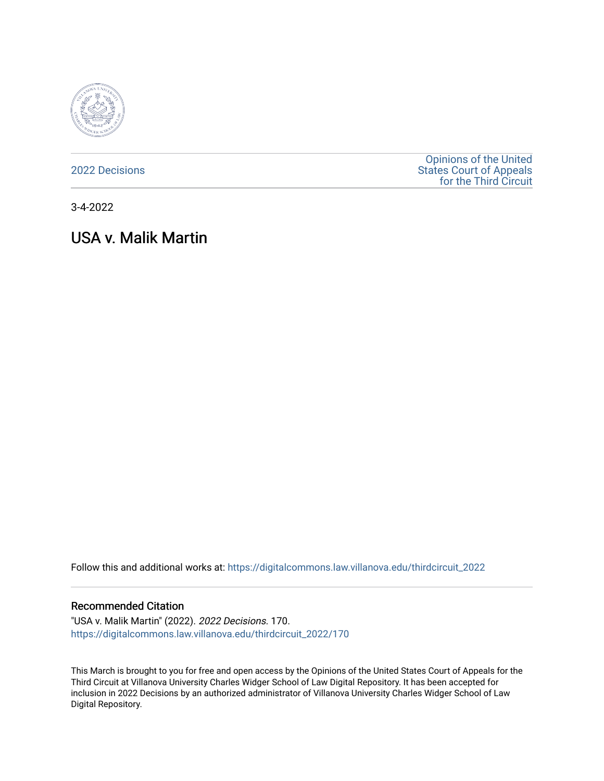

[2022 Decisions](https://digitalcommons.law.villanova.edu/thirdcircuit_2022)

[Opinions of the United](https://digitalcommons.law.villanova.edu/thirdcircuit)  [States Court of Appeals](https://digitalcommons.law.villanova.edu/thirdcircuit)  [for the Third Circuit](https://digitalcommons.law.villanova.edu/thirdcircuit) 

3-4-2022

# USA v. Malik Martin

Follow this and additional works at: [https://digitalcommons.law.villanova.edu/thirdcircuit\\_2022](https://digitalcommons.law.villanova.edu/thirdcircuit_2022?utm_source=digitalcommons.law.villanova.edu%2Fthirdcircuit_2022%2F170&utm_medium=PDF&utm_campaign=PDFCoverPages) 

#### Recommended Citation

"USA v. Malik Martin" (2022). 2022 Decisions. 170. [https://digitalcommons.law.villanova.edu/thirdcircuit\\_2022/170](https://digitalcommons.law.villanova.edu/thirdcircuit_2022/170?utm_source=digitalcommons.law.villanova.edu%2Fthirdcircuit_2022%2F170&utm_medium=PDF&utm_campaign=PDFCoverPages)

This March is brought to you for free and open access by the Opinions of the United States Court of Appeals for the Third Circuit at Villanova University Charles Widger School of Law Digital Repository. It has been accepted for inclusion in 2022 Decisions by an authorized administrator of Villanova University Charles Widger School of Law Digital Repository.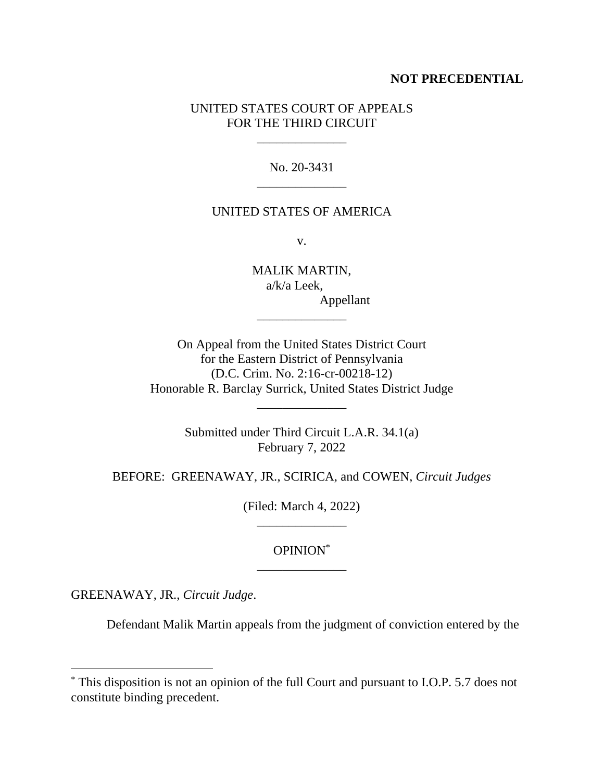## **NOT PRECEDENTIAL**

## UNITED STATES COURT OF APPEALS FOR THE THIRD CIRCUIT

\_\_\_\_\_\_\_\_\_\_\_\_\_\_

No. 20-3431 \_\_\_\_\_\_\_\_\_\_\_\_\_\_

#### UNITED STATES OF AMERICA

v.

MALIK MARTIN, a/k/a Leek, Appellant

On Appeal from the United States District Court for the Eastern District of Pennsylvania (D.C. Crim. No. 2:16-cr-00218-12) Honorable R. Barclay Surrick, United States District Judge

\_\_\_\_\_\_\_\_\_\_\_\_\_\_

\_\_\_\_\_\_\_\_\_\_\_\_\_\_

Submitted under Third Circuit L.A.R. 34.1(a) February 7, 2022

BEFORE: GREENAWAY, JR., SCIRICA, and COWEN, *Circuit Judges*

(Filed: March 4, 2022) \_\_\_\_\_\_\_\_\_\_\_\_\_\_

## OPINION\* \_\_\_\_\_\_\_\_\_\_\_\_\_\_

GREENAWAY, JR., *Circuit Judge*.

Defendant Malik Martin appeals from the judgment of conviction entered by the

<sup>\*</sup> This disposition is not an opinion of the full Court and pursuant to I.O.P. 5.7 does not constitute binding precedent.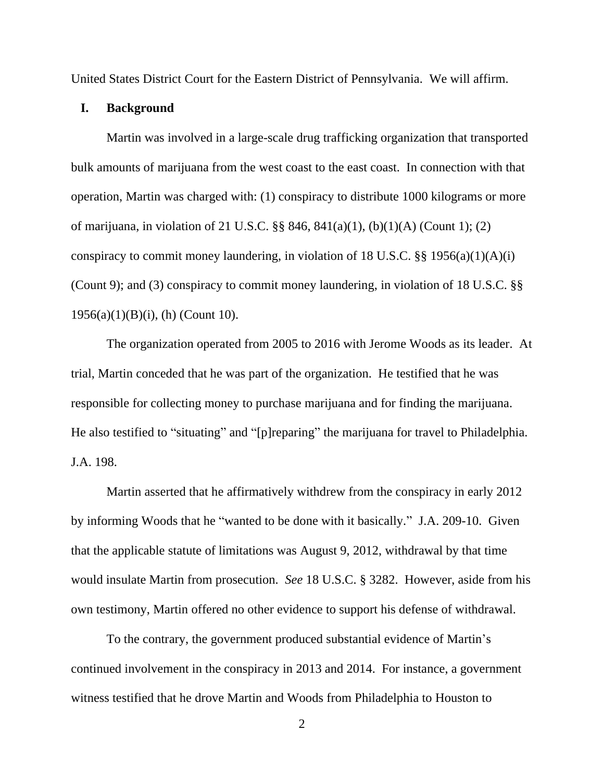United States District Court for the Eastern District of Pennsylvania. We will affirm.

#### **I. Background**

Martin was involved in a large-scale drug trafficking organization that transported bulk amounts of marijuana from the west coast to the east coast. In connection with that operation, Martin was charged with: (1) conspiracy to distribute 1000 kilograms or more of marijuana, in violation of 21 U.S.C. §§ 846, 841(a)(1), (b)(1)(A) (Count 1); (2) conspiracy to commit money laundering, in violation of 18 U.S.C.  $\S$ § 1956(a)(1)(A)(i) (Count 9); and (3) conspiracy to commit money laundering, in violation of 18 U.S.C. §§ 1956(a)(1)(B)(i), (h) (Count 10).

The organization operated from 2005 to 2016 with Jerome Woods as its leader. At trial, Martin conceded that he was part of the organization. He testified that he was responsible for collecting money to purchase marijuana and for finding the marijuana. He also testified to "situating" and "[p]reparing" the marijuana for travel to Philadelphia. J.A. 198.

Martin asserted that he affirmatively withdrew from the conspiracy in early 2012 by informing Woods that he "wanted to be done with it basically." J.A. 209-10. Given that the applicable statute of limitations was August 9, 2012, withdrawal by that time would insulate Martin from prosecution. *See* 18 U.S.C. § 3282. However, aside from his own testimony, Martin offered no other evidence to support his defense of withdrawal.

To the contrary, the government produced substantial evidence of Martin's continued involvement in the conspiracy in 2013 and 2014. For instance, a government witness testified that he drove Martin and Woods from Philadelphia to Houston to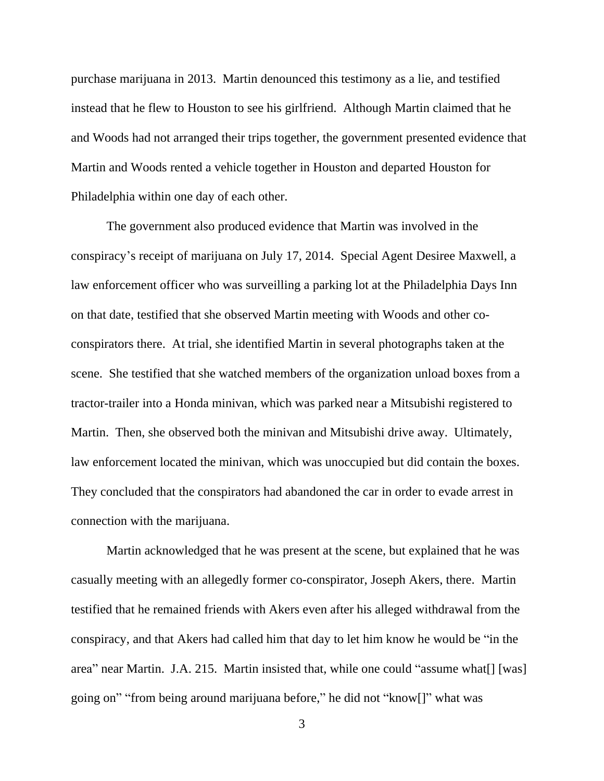purchase marijuana in 2013. Martin denounced this testimony as a lie, and testified instead that he flew to Houston to see his girlfriend. Although Martin claimed that he and Woods had not arranged their trips together, the government presented evidence that Martin and Woods rented a vehicle together in Houston and departed Houston for Philadelphia within one day of each other.

The government also produced evidence that Martin was involved in the conspiracy's receipt of marijuana on July 17, 2014. Special Agent Desiree Maxwell, a law enforcement officer who was surveilling a parking lot at the Philadelphia Days Inn on that date, testified that she observed Martin meeting with Woods and other coconspirators there. At trial, she identified Martin in several photographs taken at the scene. She testified that she watched members of the organization unload boxes from a tractor-trailer into a Honda minivan, which was parked near a Mitsubishi registered to Martin. Then, she observed both the minivan and Mitsubishi drive away. Ultimately, law enforcement located the minivan, which was unoccupied but did contain the boxes. They concluded that the conspirators had abandoned the car in order to evade arrest in connection with the marijuana.

Martin acknowledged that he was present at the scene, but explained that he was casually meeting with an allegedly former co-conspirator, Joseph Akers, there. Martin testified that he remained friends with Akers even after his alleged withdrawal from the conspiracy, and that Akers had called him that day to let him know he would be "in the area" near Martin. J.A. 215. Martin insisted that, while one could "assume what[] [was] going on" "from being around marijuana before," he did not "know[]" what was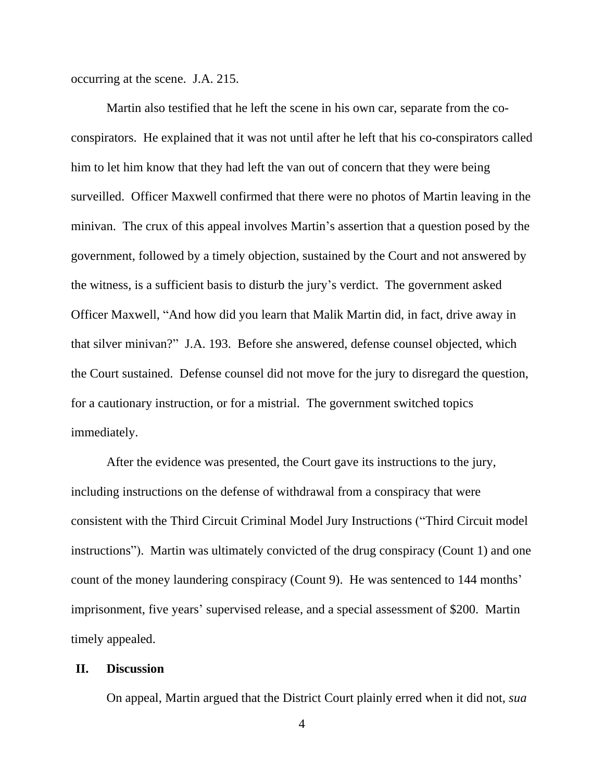occurring at the scene. J.A. 215.

Martin also testified that he left the scene in his own car, separate from the coconspirators. He explained that it was not until after he left that his co-conspirators called him to let him know that they had left the van out of concern that they were being surveilled. Officer Maxwell confirmed that there were no photos of Martin leaving in the minivan. The crux of this appeal involves Martin's assertion that a question posed by the government, followed by a timely objection, sustained by the Court and not answered by the witness, is a sufficient basis to disturb the jury's verdict. The government asked Officer Maxwell, "And how did you learn that Malik Martin did, in fact, drive away in that silver minivan?" J.A. 193. Before she answered, defense counsel objected, which the Court sustained. Defense counsel did not move for the jury to disregard the question, for a cautionary instruction, or for a mistrial. The government switched topics immediately.

After the evidence was presented, the Court gave its instructions to the jury, including instructions on the defense of withdrawal from a conspiracy that were consistent with the Third Circuit Criminal Model Jury Instructions ("Third Circuit model instructions"). Martin was ultimately convicted of the drug conspiracy (Count 1) and one count of the money laundering conspiracy (Count 9). He was sentenced to 144 months' imprisonment, five years' supervised release, and a special assessment of \$200. Martin timely appealed.

## **II. Discussion**

On appeal, Martin argued that the District Court plainly erred when it did not, *sua*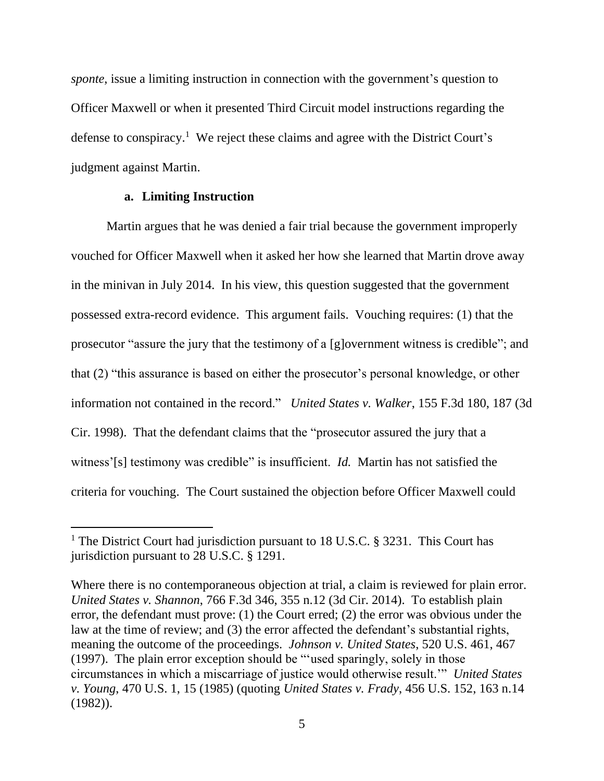*sponte*, issue a limiting instruction in connection with the government's question to Officer Maxwell or when it presented Third Circuit model instructions regarding the defense to conspiracy. <sup>1</sup> We reject these claims and agree with the District Court's judgment against Martin.

### **a. Limiting Instruction**

Martin argues that he was denied a fair trial because the government improperly vouched for Officer Maxwell when it asked her how she learned that Martin drove away in the minivan in July 2014. In his view, this question suggested that the government possessed extra-record evidence. This argument fails. Vouching requires: (1) that the prosecutor "assure the jury that the testimony of a [g]overnment witness is credible"; and that (2) "this assurance is based on either the prosecutor's personal knowledge, or other information not contained in the record." *United States v. Walker*, 155 F.3d 180, 187 (3d Cir. 1998). That the defendant claims that the "prosecutor assured the jury that a witness'[s] testimony was credible" is insufficient. *Id.* Martin has not satisfied the criteria for vouching. The Court sustained the objection before Officer Maxwell could

<sup>&</sup>lt;sup>1</sup> The District Court had jurisdiction pursuant to 18 U.S.C. § 3231. This Court has jurisdiction pursuant to 28 U.S.C. § 1291.

Where there is no contemporaneous objection at trial, a claim is reviewed for plain error. *United States v. Shannon*, 766 F.3d 346, 355 n.12 (3d Cir. 2014). To establish plain error, the defendant must prove: (1) the Court erred; (2) the error was obvious under the law at the time of review; and (3) the error affected the defendant's substantial rights, meaning the outcome of the proceedings. *Johnson v. United States*, 520 U.S. 461, 467 (1997). The plain error exception should be "'used sparingly, solely in those circumstances in which a miscarriage of justice would otherwise result.'" *United States v. Young*, 470 U.S. 1, 15 (1985) (quoting *United States v. Frady*, 456 U.S. 152, 163 n.14 (1982)).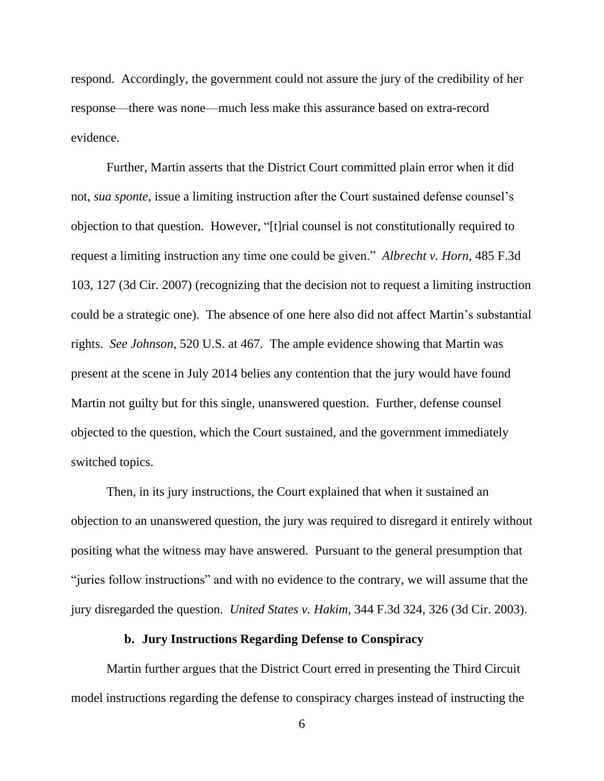respond. Accordingly, the government could not assure the jury of the credibility of her response—there was none—much less make this assurance based on extra-record evidence.

Further, Martin asserts that the District Court committed plain error when it did not, *sua sponte*, issue a limiting instruction after the Court sustained defense counsel's objection to that question. However, "[t]rial counsel is not constitutionally required to request a limiting instruction any time one could be given." *Albrecht v. Horn*, 485 F.3d 103, 127 (3d Cir. 2007) (recognizing that the decision not to request a limiting instruction could be a strategic one). The absence of one here also did not affect Martin's substantial rights. *See Johnson*, 520 U.S. at 467. The ample evidence showing that Martin was present at the scene in July 2014 belies any contention that the jury would have found Martin not guilty but for this single, unanswered question. Further, defense counsel objected to the question, which the Court sustained, and the government immediately switched topics.

Then, in its jury instructions, the Court explained that when it sustained an objection to an unanswered question, the jury was required to disregard it entirely without positing what the witness may have answered. Pursuant to the general presumption that "juries follow instructions" and with no evidence to the contrary, we will assume that the jury disregarded the question. *United States v. Hakim*, 344 F.3d 324, 326 (3d Cir. 2003).

## **b. Jury Instructions Regarding Defense to Conspiracy**

Martin further argues that the District Court erred in presenting the Third Circuit model instructions regarding the defense to conspiracy charges instead of instructing the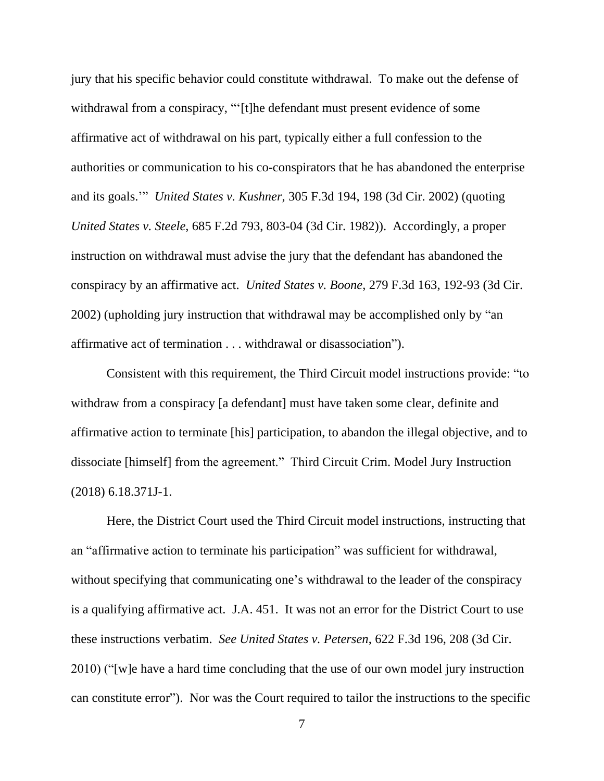jury that his specific behavior could constitute withdrawal. To make out the defense of withdrawal from a conspiracy, "'[t]he defendant must present evidence of some affirmative act of withdrawal on his part, typically either a full confession to the authorities or communication to his co-conspirators that he has abandoned the enterprise and its goals.'" *United States v. Kushner*, 305 F.3d 194, 198 (3d Cir. 2002) (quoting *United States v. Steele*, 685 F.2d 793, 803-04 (3d Cir. 1982)). Accordingly, a proper instruction on withdrawal must advise the jury that the defendant has abandoned the conspiracy by an affirmative act. *United States v. Boone*, 279 F.3d 163, 192-93 (3d Cir. 2002) (upholding jury instruction that withdrawal may be accomplished only by "an affirmative act of termination . . . withdrawal or disassociation").

Consistent with this requirement, the Third Circuit model instructions provide: "to withdraw from a conspiracy [a defendant] must have taken some clear, definite and affirmative action to terminate [his] participation, to abandon the illegal objective, and to dissociate [himself] from the agreement." Third Circuit Crim. Model Jury Instruction (2018) 6.18.371J-1.

Here, the District Court used the Third Circuit model instructions, instructing that an "affirmative action to terminate his participation" was sufficient for withdrawal, without specifying that communicating one's withdrawal to the leader of the conspiracy is a qualifying affirmative act. J.A. 451. It was not an error for the District Court to use these instructions verbatim. *See United States v. Petersen*, 622 F.3d 196, 208 (3d Cir. 2010) ("[w]e have a hard time concluding that the use of our own model jury instruction can constitute error"). Nor was the Court required to tailor the instructions to the specific